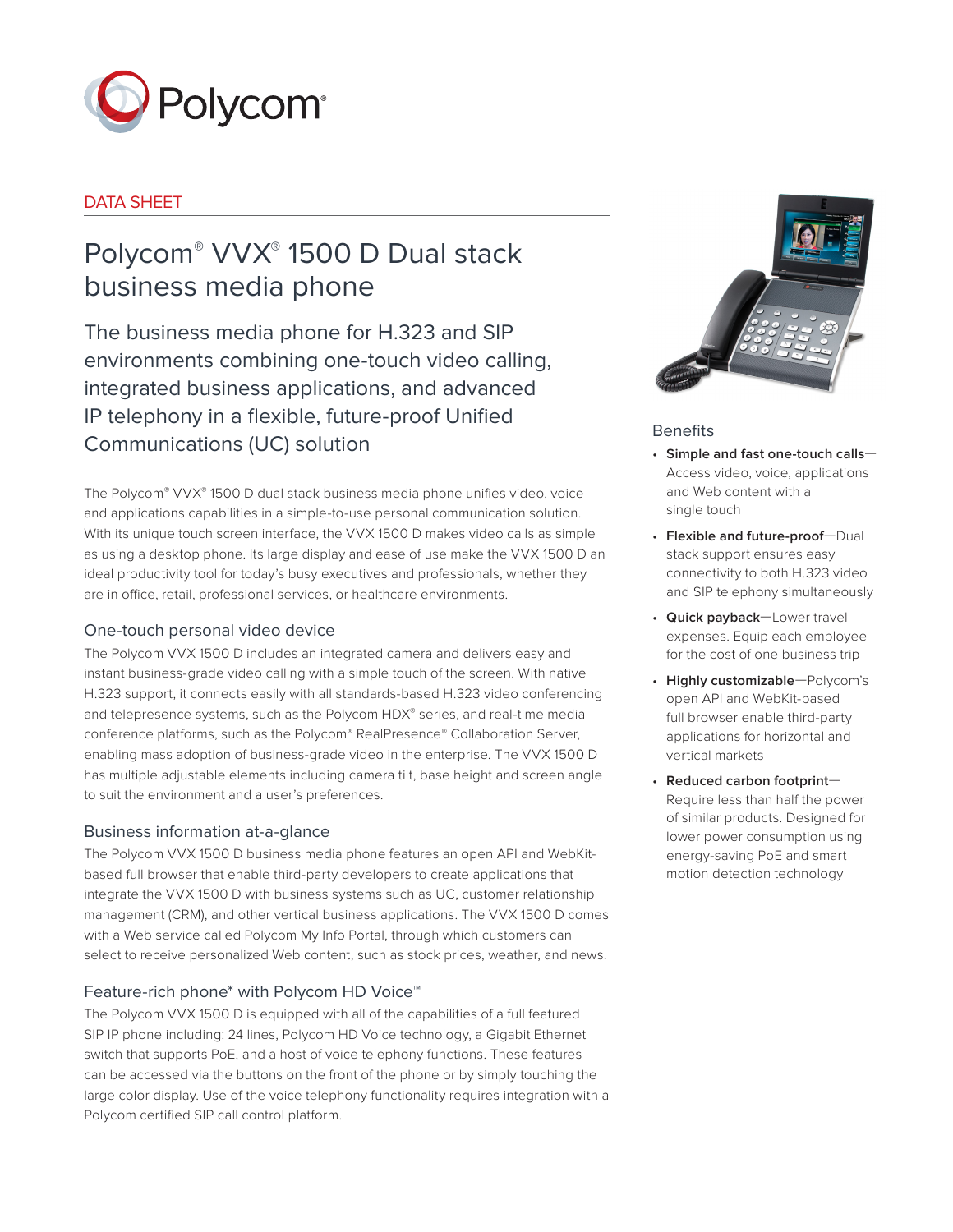

# DATA SHEET

# Polycom® VVX® 1500 D Dual stack business media phone

The business media phone for H.323 and SIP environments combining one-touch video calling, integrated business applications, and advanced IP telephony in a flexible, future-proof Unified Communications (UC) solution

The Polycom® VVX® 1500 D dual stack business media phone unifies video, voice and applications capabilities in a simple-to-use personal communication solution. With its unique touch screen interface, the VVX 1500 D makes video calls as simple as using a desktop phone. Its large display and ease of use make the VVX 1500 D an ideal productivity tool for today's busy executives and professionals, whether they are in office, retail, professional services, or healthcare environments.

# One-touch personal video device

The Polycom VVX 1500 D includes an integrated camera and delivers easy and instant business-grade video calling with a simple touch of the screen. With native H.323 support, it connects easily with all standards-based H.323 video conferencing and telepresence systems, such as the Polycom HDX® series, and real-time media conference platforms, such as the Polycom® RealPresence® Collaboration Server, enabling mass adoption of business-grade video in the enterprise. The VVX 1500 D has multiple adjustable elements including camera tilt, base height and screen angle to suit the environment and a user's preferences.

# Business information at-a-glance

The Polycom VVX 1500 D business media phone features an open API and WebKitbased full browser that enable third-party developers to create applications that integrate the VVX 1500 D with business systems such as UC, customer relationship management (CRM), and other vertical business applications. The VVX 1500 D comes with a Web service called Polycom My Info Portal, through which customers can select to receive personalized Web content, such as stock prices, weather, and news.

# Feature-rich phone\* with Polycom HD Voice™

The Polycom VVX 1500 D is equipped with all of the capabilities of a full featured SIP IP phone including: 24 lines, Polycom HD Voice technology, a Gigabit Ethernet switch that supports PoE, and a host of voice telephony functions. These features can be accessed via the buttons on the front of the phone or by simply touching the large color display. Use of the voice telephony functionality requires integration with a Polycom certified SIP call control platform.



## **Benefits**

- **Simple and fast one-touch calls** Access video, voice, applications and Web content with a single touch
- **Flexible and future-proof**—Dual stack support ensures easy connectivity to both H.323 video and SIP telephony simultaneously
- **Quick payback**—Lower travel expenses. Equip each employee for the cost of one business trip
- **Highly customizable**—Polycom's open API and WebKit-based full browser enable third-party applications for horizontal and vertical markets
- **Reduced carbon footprint** Require less than half the power of similar products. Designed for lower power consumption using energy-saving PoE and smart motion detection technology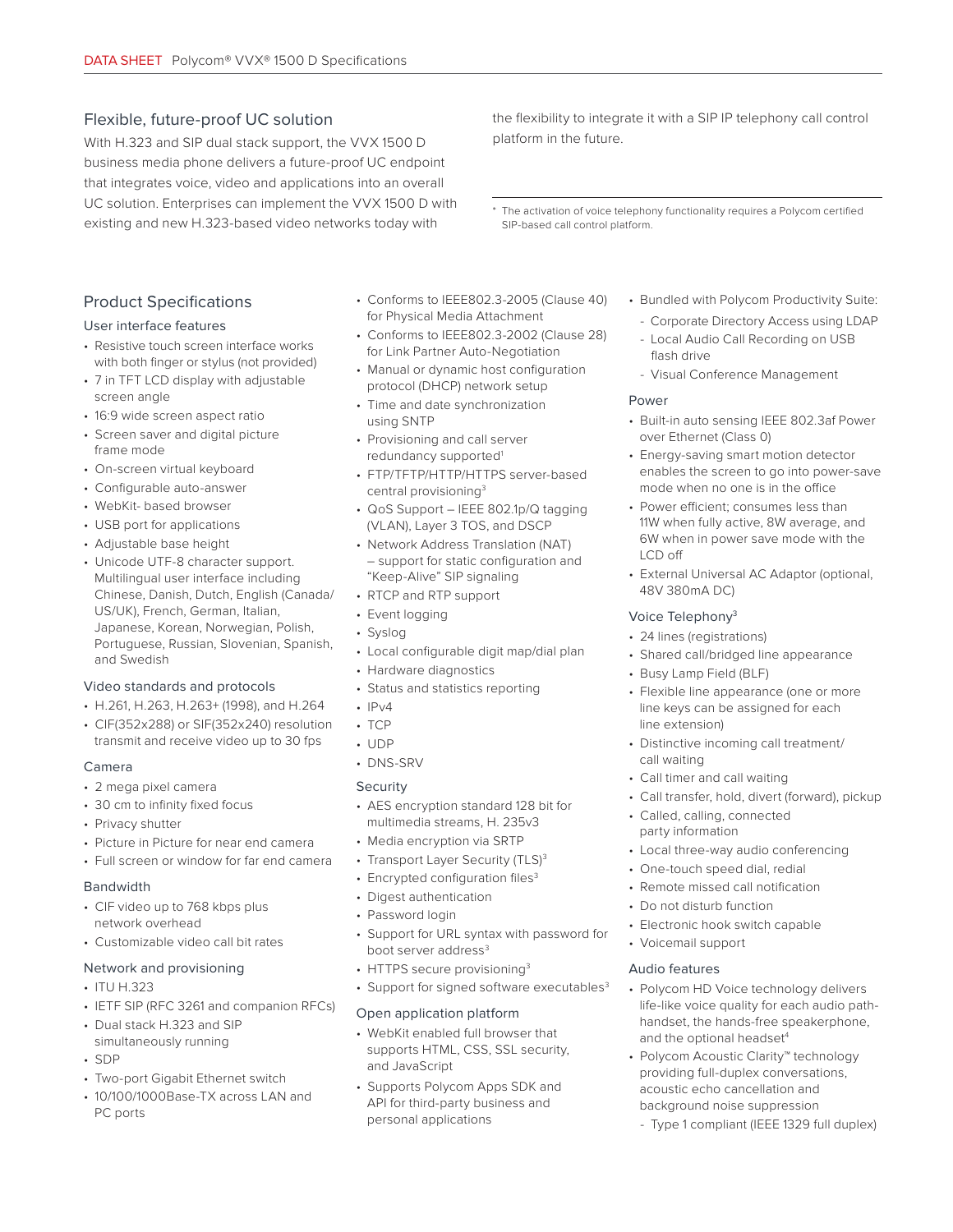# Flexible, future-proof UC solution

With H.323 and SIP dual stack support, the VVX 1500 D business media phone delivers a future-proof UC endpoint that integrates voice, video and applications into an overall UC solution. Enterprises can implement the VVX 1500 D with existing and new H.323-based video networks today with

the flexibility to integrate it with a SIP IP telephony call control platform in the future.

\* The activation of voice telephony functionality requires a Polycom certified SIP-based call control platform.

# Product Specifications

#### User interface features

- Resistive touch screen interface works with both finger or stylus (not provided)
- 7 in TFT LCD display with adjustable screen angle
- 16:9 wide screen aspect ratio
- Screen saver and digital picture frame mode
- On-screen virtual keyboard
- Configurable auto-answer
- WebKit- based browser
- USB port for applications
- Adjustable base height
- Unicode UTF-8 character support. Multilingual user interface including Chinese, Danish, Dutch, English (Canada/ US/UK), French, German, Italian, Japanese, Korean, Norwegian, Polish, Portuguese, Russian, Slovenian, Spanish, and Swedish

### Video standards and protocols

- H.261, H.263, H.263+ (1998), and H.264
- CIF(352x288) or SIF(352x240) resolution transmit and receive video up to 30 fps

#### Camera

- 2 mega pixel camera
- 30 cm to infinity fixed focus
- Privacy shutter
- Picture in Picture for near end camera
- Full screen or window for far end camera

#### Bandwidth

- CIF video up to 768 kbps plus network overhead
- Customizable video call bit rates

#### Network and provisioning

- $\cdot$  ITU H 323
- IETF SIP (RFC 3261 and companion RFCs)
- Dual stack H.323 and SIP simultaneously running
- SDP
- Two-port Gigabit Ethernet switch
- 10/100/1000Base-TX across LAN and PC ports
- Conforms to IEEE802.3-2005 (Clause 40) for Physical Media Attachment
- Conforms to IEEE802.3-2002 (Clause 28) for Link Partner Auto-Negotiation
- Manual or dynamic host configuration protocol (DHCP) network setup
- Time and date synchronization using SNTP
- Provisioning and call server redundancy supported<sup>1</sup>
- FTP/TFTP/HTTP/HTTPS server-based central provisioning3
- QoS Support IEEE 802.1p/Q tagging (VLAN), Layer 3 TOS, and DSCP
- Network Address Translation (NAT) – support for static configuration and "Keep-Alive" SIP signaling
- RTCP and RTP support
- Event logging
- Syslog
- Local configurable digit map/dial plan
- Hardware diagnostics
- Status and statistics reporting
- $\cdot$  IPv4
- TCP
- UDP
- DNS-SRV

### Security

- AES encryption standard 128 bit for multimedia streams, H. 235v3
- Media encryption via SRTP
- Transport Layer Security (TLS)<sup>3</sup>
- Encrypted configuration files<sup>3</sup>
- Digest authentication
- Password login
- Support for URL syntax with password for boot server address<sup>3</sup>
- HTTPS secure provisioning<sup>3</sup>
- Support for signed software executables<sup>3</sup>

### Open application platform

- WebKit enabled full browser that supports HTML, CSS, SSL security, and JavaScript
- Supports Polycom Apps SDK and API for third-party business and personal applications
- Bundled with Polycom Productivity Suite:
	- Corporate Directory Access using LDAP
	- Local Audio Call Recording on USB flash drive
- Visual Conference Management

### **Power**

- Built-in auto sensing IEEE 802.3af Power over Ethernet (Class 0)
- Energy-saving smart motion detector enables the screen to go into power-save mode when no one is in the office
- Power efficient; consumes less than 11W when fully active, 8W average, and 6W when in power save mode with the LCD off
- External Universal AC Adaptor (optional, 48V 380mA DC)

### Voice Telephony3

- 24 lines (registrations)
- Shared call/bridged line appearance
- Busy Lamp Field (BLF)
- Flexible line appearance (one or more line keys can be assigned for each line extension)
- Distinctive incoming call treatment/ call waiting
- Call timer and call waiting
- Call transfer, hold, divert (forward), pickup
- Called, calling, connected party information
- Local three-way audio conferencing
- One-touch speed dial, redial
- Remote missed call notification
- Do not disturb function
- Electronic hook switch capable
- Voicemail support

### Audio features

- Polycom HD Voice technology delivers life-like voice quality for each audio pathhandset, the hands-free speakerphone, and the optional headset<sup>4</sup>
- Polycom Acoustic Clarity™ technology providing full-duplex conversations, acoustic echo cancellation and background noise suppression
	- Type 1 compliant (IEEE 1329 full duplex)